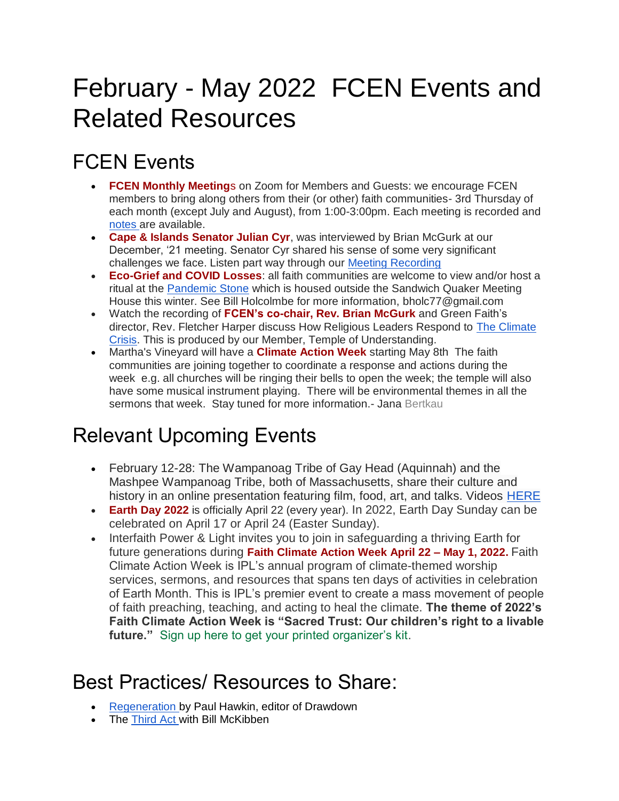## February - May 2022 FCEN Events and Related Resources

## FCEN Events

- **FCEN Monthly Meeting**s on Zoom for Members and Guests: we encourage FCEN members to bring along others from their (or other) faith communities- 3rd Thursday of each month (except July and August), from 1:00-3:00pm. Each meeting is recorded and [notes a](https://docs.google.com/document/d/1_zPozEYb2RnJQqg5j1McuwuQdSI8hZBsFABIKRxdnok/edit?usp=sharing)re available.
- **Cape & Islands Senator Julian Cyr**, was interviewed by Brian McGurk at our December, '21 meeting. Senator Cyr shared his sense of some very significant challenges we face. Listen part way through our [Meeting Recording](https://us02web.zoom.us/rec/share/RonNmNflVxHlYFTcMJwAzBQK8HCZ7YrpzJGAFQMqEYFVuw-ismIQ0B7KLSLSYhPw.sjohBRroQfJmTfpU)
- **Eco-Grief and COVID Losses**: all faith communities are welcome to view and/or host a ritual at the [Pandemic Stone](https://docs.google.com/presentation/d/1QzkOzxPZPG5xezGJkcrWwriPjIIoyEuC/edit?usp=sharing&ouid=105946640545787453473&rtpof=true&sd=true) which is housed outside the Sandwich Quaker Meeting House this winter. See Bill Holcolmbe for more information, [bholc77@gmail.com](mailto:bholc77@gmail.com)
- Watch the recording of **FCEN's co-chair, Rev. Brian McGurk** and Green Faith's director, Rev. Fletcher Harper discuss How Religious Leaders Respond to [The Climate](https://templeofunderstanding.org/what-the-world-religious-leaders-are-doing-about-the-climate-crisis-dialogue-with-harper-mcgurk/)  [Crisis.](https://templeofunderstanding.org/what-the-world-religious-leaders-are-doing-about-the-climate-crisis-dialogue-with-harper-mcgurk/) This is produced by our Member, Temple of Understanding.
- Martha's Vineyard will have a **Climate Action Week** starting May 8th The faith communities are joining together to coordinate a response and actions during the week e.g. all churches will be ringing their bells to open the week; the temple will also have some musical instrument playing. There will be environmental themes in all the sermons that week. Stay tuned for more information.- Jana Bertkau

## Relevant Upcoming Events

- February 12-28: The Wampanoag Tribe of Gay Head (Aquinnah) and the Mashpee Wampanoag Tribe, both of Massachusetts, share their culture and history in an online presentation featuring film, food, art, and talks. Videos [HERE](https://nmai.brand.live/c/wampanoag-celebration)
- **Earth Day 2022** is officially April 22 (every year). In 2022, Earth Day Sunday can be celebrated on April 17 or April 24 (Easter Sunday).
- Interfaith Power & Light invites you to join in safeguarding a thriving Earth for future generations during **[Faith Climate Action Week April 22 –](https://www.faithclimateactionweek.org/) May 1, 2022.** Faith Climate Action Week is IPL's annual program of climate-themed worship services, sermons, and resources that spans ten days of activities in celebration of Earth Month. This is IPL's premier event to create a mass movement of people of faith preaching, teaching, and acting to heal the climate. **The theme of 2022's Faith Climate Action Week is "Sacred Trust: Our children's right to a livable future."** [Sign up here to get your printed organizer's kit.](https://interfaithpowerandlight.salsalabs.org/trpfcawpreregister2022/index.html?eType=EmailBlastContent&eId=2966c213-302d-427d-abc0-152e35fe9e13)

## Best Practices/ Resources to Share:

- [Regeneration b](https://www.googleadservices.com/pagead/aclk?sa=L&ai=DChcSEwjJnoKMx9f0AhV5c28EHXh9A9sYABACGgJqZg&ae=2&ohost=www.google.com&cid=CAESQeD2EUaP2ROxaDiZ-0W8lWR6xYZzlBAqE1ZK3LzTo6fDPmyL0yTh2gL16ECUjZX1-okT70IvXC9xTJtrjNENHGY-&sig=AOD64_2TzdjTRQcyDkKekvLeQxnQJtn4UQ&q&adurl&ved=2ahUKEwimlPOLx9f0AhXPjIkEHWoOCu0Q0Qx6BAgGEAE)y Paul Hawkin, editor of Drawdown
- The [Third Act w](https://thirdact.org/news-updates/2021/10/15/welcome-to-your-third-act/)ith Bill McKibben